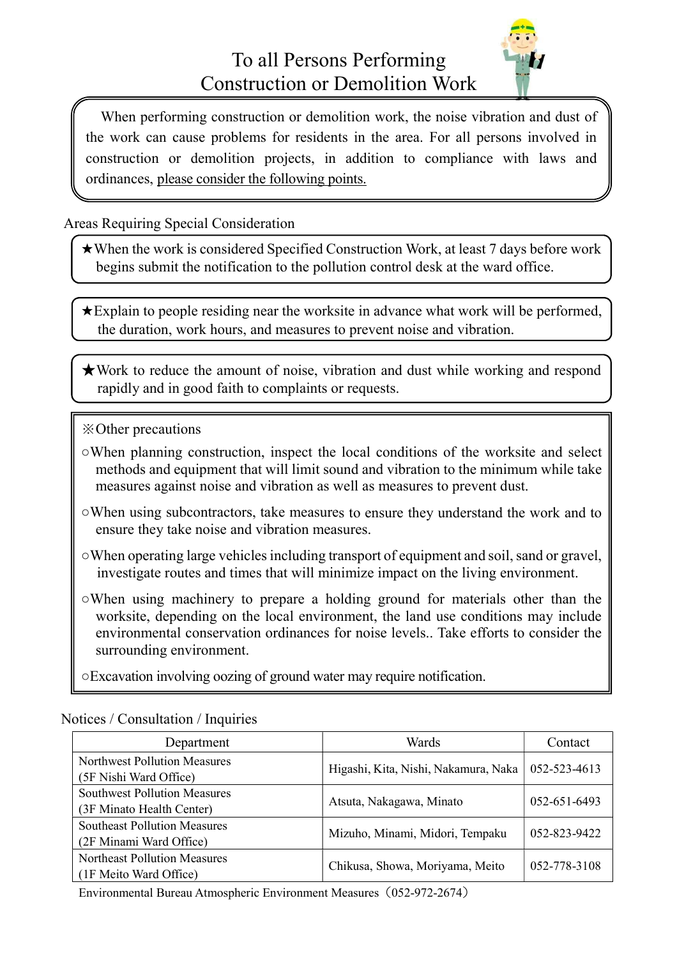

When performing construction or demolition work, the noise vibration and dust of the work can cause problems for residents in the area. For all persons involved in construction or demolition projects, in addition to compliance with laws and ordinances, please consider the following points.

Areas Requiring Special Consideration

★When the work is considered Specified Construction Work, at least 7 days before work begins submit the notification to the pollution control desk at the ward office.

★Explain to people residing near the worksite in advance what work will be performed, the duration, work hours, and measures to prevent noise and vibration.

★Work to reduce the amount of noise, vibration and dust while working and respond rapidly and in good faith to complaints or requests.

- ※Other precautions
- ○When planning construction, inspect the local conditions of the worksite and select methods and equipment that will limit sound and vibration to the minimum while take measures against noise and vibration as well as measures to prevent dust.
- ○When using subcontractors, take measures to ensure they understand the work and to ensure they take noise and vibration measures.
- ○When operating large vehicles including transport of equipment and soil, sand or gravel, investigate routes and times that will minimize impact on the living environment.
- ○When using machinery to prepare a holding ground for materials other than the worksite, depending on the local environment, the land use conditions may include environmental conservation ordinances for noise levels.. Take efforts to consider the surrounding environment.
- ○Excavation involving oozing of ground water may require notification.

| Department                                                       | Wards                                | Contact            |
|------------------------------------------------------------------|--------------------------------------|--------------------|
| <b>Northwest Pollution Measures</b><br>(5F Nishi Ward Office)    | Higashi, Kita, Nishi, Nakamura, Naka | 052-523-4613       |
| <b>Southwest Pollution Measures</b><br>(3F Minato Health Center) | Atsuta, Nakagawa, Minato             | $052 - 651 - 6493$ |
| <b>Southeast Pollution Measures</b><br>(2F Minami Ward Office)   | Mizuho, Minami, Midori, Tempaku      | 052-823-9422       |
| <b>Northeast Pollution Measures</b><br>(1F Meito Ward Office)    | Chikusa, Showa, Moriyama, Meito      | 052-778-3108       |

Notices / Consultation / Inquiries

Environmental Bureau Atmospheric Environment Measures(052-972-2674)